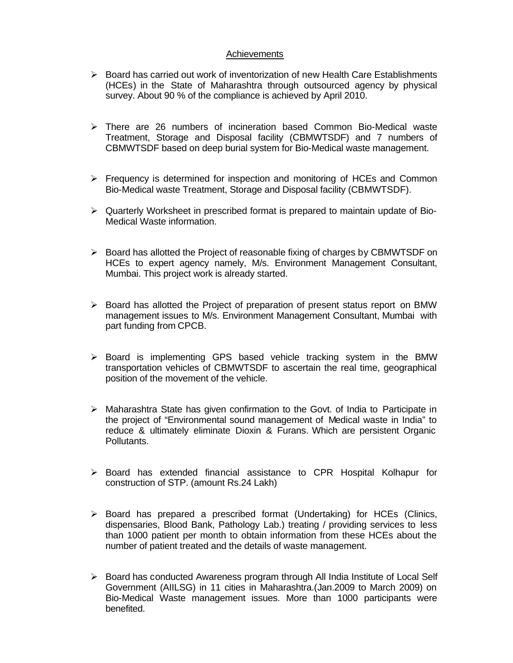## Achievements

- $\triangleright$  Board has carried out work of inventorization of new Health Care Establishments (HCEs) in the State of Maharashtra through outsourced agency by physical survey. About 90 % of the compliance is achieved by April 2010.
- $\triangleright$  There are 26 numbers of incineration based Common Bio-Medical waste Treatment, Storage and Disposal facility (CBMWTSDF) and 7 numbers of CBMWTSDF based on deep burial system for Bio-Medical waste management.
- $\triangleright$  Frequency is determined for inspection and monitoring of HCEs and Common Bio-Medical waste Treatment, Storage and Disposal facility (CBMWTSDF).
- $\triangleright$  Quarterly Worksheet in prescribed format is prepared to maintain update of Bio-Medical Waste information.
- $\triangleright$  Board has allotted the Project of reasonable fixing of charges by CBMWTSDF on HCEs to expert agency namely, M/s. Environment Management Consultant, Mumbai. This project work is already started.
- $\triangleright$  Board has allotted the Project of preparation of present status report on BMW management issues to M/s. Environment Management Consultant, Mumbai with part funding from CPCB.
- $\triangleright$  Board is implementing GPS based vehicle tracking system in the BMW transportation vehicles of CBMWTSDF to ascertain the real time, geographical position of the movement of the vehicle.
- $\triangleright$  Maharashtra State has given confirmation to the Govt. of India to Participate in the project of "Environmental sound management of Medical waste in India" to reduce & ultimately eliminate Dioxin & Furans. Which are persistent Organic Pollutants.
- $\triangleright$  Board has extended financial assistance to CPR Hospital Kolhapur for construction of STP. (amount Rs.24 Lakh)
- $\triangleright$  Board has prepared a prescribed format (Undertaking) for HCEs (Clinics, dispensaries, Blood Bank, Pathology Lab.) treating / providing services to less than 1000 patient per month to obtain information from these HCEs about the number of patient treated and the details of waste management.
- $\triangleright$  Board has conducted Awareness program through All India Institute of Local Self Government (AIILSG) in 11 cities in Maharashtra.(Jan.2009 to March 2009) on Bio-Medical Waste management issues. More than 1000 participants were benefited.